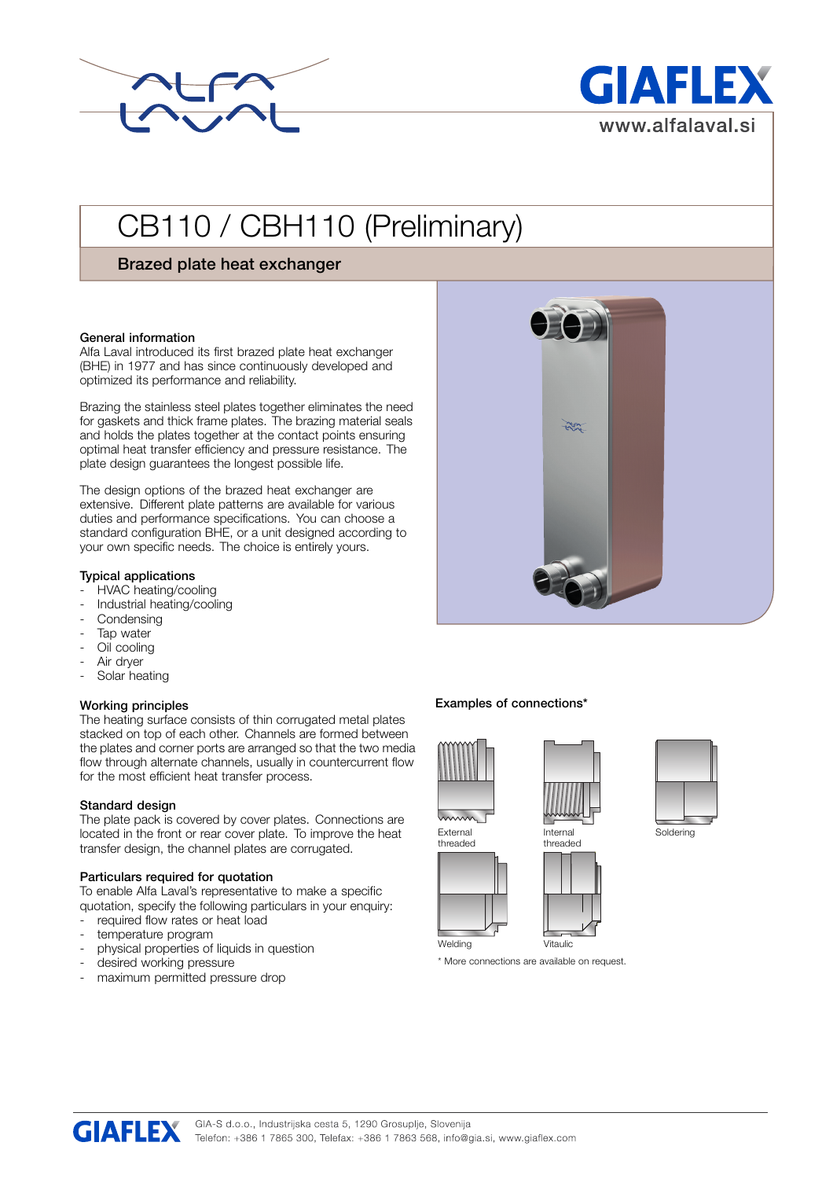



# CB110 / CBH110 (Preliminary)

## **Brazed plate heat exchanger**

## **General information**

Alfa Laval introduced its first brazed plate heat exchanger (BHE) in 1977 and has since continuously developed and optimized its performance and reliability.

Brazing the stainless steel plates together eliminates the need for gaskets and thick frame plates. The brazing material seals and holds the plates together at the contact points ensuring optimal heat transfer efficiency and pressure resistance. The plate design guarantees the longest possible life.

The design options of the brazed heat exchanger are extensive. Different plate patterns are available for various duties and performance specifications. You can choose a standard configuration BHE, or a unit designed according to your own specific needs. The choice is entirely yours.

#### **Typical applications**

- HVAC heating/cooling
- Industrial heating/cooling
- **Condensing**
- Tap water
- Oil cooling
- Air dryer
- Solar heating

## . **Working principles**

The heating surface consists of thin corrugated metal plates stacked on top of each other. Channels are formed between the plates and corner ports are arranged so that the two media flow through alternate channels, usually in countercurrent flow for the most efficient heat transfer process.

## **Standard design**

The plate pack is covered by cover plates. Connections are located in the front or rear cover plate. To improve the heat transfer design, the channel plates are corrugated.

## **Particulars required for quotation**

To enable Alfa Laval's representative to make a specific quotation, specify the following particulars in your enquiry:

- required flow rates or heat load
- temperature program
- physical properties of liquids in question
- desired working pressure
- maximum permitted pressure drop

## **Examples of connections\***





threaded

Soldering



External threaded

\* More connections are available on request.